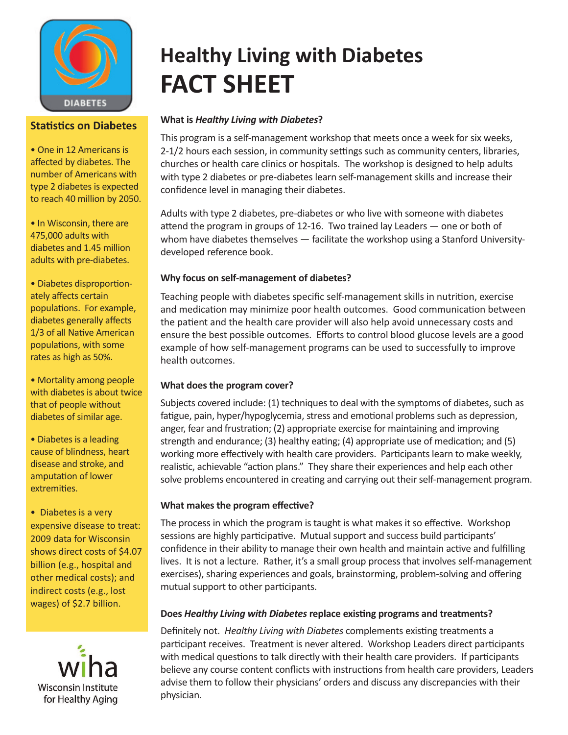

## **Statistics on Diabetes**

• One in 12 Americans is affected by diabetes. The number of Americans with type 2 diabetes is expected to reach 40 million by 2050.

• In Wisconsin, there are 475,000 adults with diabetes and 1.45 million adults with pre-diabetes.

• Diabetes disproportionately affects certain populations. For example, diabetes generally affects 1/3 of all Native American populations, with some rates as high as 50%.

• Mortality among people with diabetes is about twice that of people without diabetes of similar age.

• Diabetes is a leading cause of blindness, heart disease and stroke, and amputation of lower extremities.

• Diabetes is a very expensive disease to treat: 2009 data for Wisconsin shows direct costs of \$4.07 billion (e.g., hospital and other medical costs); and indirect costs (e.g., lost wages) of \$2.7 billion.



# **Healthy Living with Diabetes FACT SHEET**

## **What is** *Healthy Living with Diabetes***?**

This program is a self-management workshop that meets once a week for six weeks, 2-1/2 hours each session, in community settings such as community centers, libraries, churches or health care clinics or hospitals. The workshop is designed to help adults with type 2 diabetes or pre-diabetes learn self-management skills and increase their confidence level in managing their diabetes.

Adults with type 2 diabetes, pre-diabetes or who live with someone with diabetes attend the program in groups of 12-16. Two trained lay Leaders — one or both of whom have diabetes themselves — facilitate the workshop using a Stanford Universitydeveloped reference book.

#### **Why focus on self-management of diabetes?**

Teaching people with diabetes specific self-management skills in nutrition, exercise and medication may minimize poor health outcomes. Good communication between the patient and the health care provider will also help avoid unnecessary costs and ensure the best possible outcomes. Efforts to control blood glucose levels are a good example of how self-management programs can be used to successfully to improve health outcomes.

## **What does the program cover?**

Subjects covered include: (1) techniques to deal with the symptoms of diabetes, such as fatigue, pain, hyper/hypoglycemia, stress and emotional problems such as depression, anger, fear and frustration; (2) appropriate exercise for maintaining and improving strength and endurance; (3) healthy eating; (4) appropriate use of medication; and (5) working more effectively with health care providers. Participants learn to make weekly, realistic, achievable "action plans." They share their experiences and help each other solve problems encountered in creating and carrying out their self-management program.

#### **What makes the program effective?**

The process in which the program is taught is what makes it so effective. Workshop sessions are highly participative. Mutual support and success build participants' confidence in their ability to manage their own health and maintain active and fulfilling lives. It is not a lecture. Rather, it's a small group process that involves self-management exercises), sharing experiences and goals, brainstorming, problem-solving and offering mutual support to other participants.

#### **Does** *Healthy Living with Diabetes* **replace existing programs and treatments?**

Definitely not. *Healthy Living with Diabetes* complements existing treatments a participant receives. Treatment is never altered. Workshop Leaders direct participants with medical questions to talk directly with their health care providers. If participants believe any course content conflicts with instructions from health care providers, Leaders advise them to follow their physicians' orders and discuss any discrepancies with their physician.